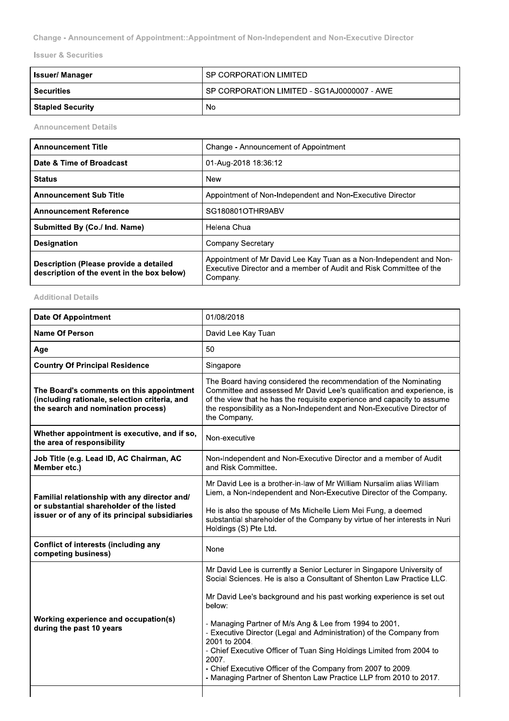Change - Announcement of Appointment::Appointment of Non-Independent and Non-Executive Director

**Issuer & Securities** 

| <b>Issuer/Manager</b>   | l SP CORPORATION LIMITED                      |
|-------------------------|-----------------------------------------------|
| <b>Securities</b>       | I SP CORPORATION LIMITED - SG1AJ0000007 - AWE |
| <b>Stapled Security</b> | No                                            |

**Announcement Details** 

| <b>Announcement Title</b>                                                            | Change - Announcement of Appointment                                                                                                                 |
|--------------------------------------------------------------------------------------|------------------------------------------------------------------------------------------------------------------------------------------------------|
| Date & Time of Broadcast                                                             | 01-Aug-2018 18:36:12                                                                                                                                 |
| <b>Status</b>                                                                        | <b>New</b>                                                                                                                                           |
| <b>Announcement Sub Title</b>                                                        | Appointment of Non-Independent and Non-Executive Director                                                                                            |
| <b>Announcement Reference</b>                                                        | SG180801OTHR9ABV                                                                                                                                     |
| Submitted By (Co./ Ind. Name)                                                        | Helena Chua                                                                                                                                          |
| <b>Designation</b>                                                                   | Company Secretary                                                                                                                                    |
| Description (Please provide a detailed<br>description of the event in the box below) | Appointment of Mr David Lee Kay Tuan as a Non-Independent and Non-<br>Executive Director and a member of Audit and Risk Committee of the<br>Company. |

**Additional Details** 

| <b>Date Of Appointment</b>                                                                                                                 | 01/08/2018                                                                                                                                                                                                                                                                                                                                                                                                                                                                                                                                                                                               |
|--------------------------------------------------------------------------------------------------------------------------------------------|----------------------------------------------------------------------------------------------------------------------------------------------------------------------------------------------------------------------------------------------------------------------------------------------------------------------------------------------------------------------------------------------------------------------------------------------------------------------------------------------------------------------------------------------------------------------------------------------------------|
| <b>Name Of Person</b>                                                                                                                      | David Lee Kay Tuan                                                                                                                                                                                                                                                                                                                                                                                                                                                                                                                                                                                       |
| Age                                                                                                                                        | 50                                                                                                                                                                                                                                                                                                                                                                                                                                                                                                                                                                                                       |
| <b>Country Of Principal Residence</b>                                                                                                      | Singapore                                                                                                                                                                                                                                                                                                                                                                                                                                                                                                                                                                                                |
| The Board's comments on this appointment<br>(including rationale, selection criteria, and<br>the search and nomination process)            | The Board having considered the recommendation of the Nominating<br>Committee and assessed Mr David Lee's qualification and experience, is<br>of the view that he has the requisite experience and capacity to assume<br>the responsibility as a Non-Independent and Non-Executive Director of<br>the Company.                                                                                                                                                                                                                                                                                           |
| Whether appointment is executive, and if so,<br>the area of responsibility                                                                 | Non-executive                                                                                                                                                                                                                                                                                                                                                                                                                                                                                                                                                                                            |
| Job Title (e.g. Lead ID, AC Chairman, AC<br>Member etc.)                                                                                   | Non-Independent and Non-Executive Director and a member of Audit<br>and Risk Committee.                                                                                                                                                                                                                                                                                                                                                                                                                                                                                                                  |
| Familial relationship with any director and/<br>or substantial shareholder of the listed<br>issuer or of any of its principal subsidiaries | Mr David Lee is a brother-in-law of Mr William Nursalim alias William<br>Liem, a Non-Independent and Non-Executive Director of the Company.<br>He is also the spouse of Ms Michelle Liem Mei Fung, a deemed<br>substantial shareholder of the Company by virtue of her interests in Nuri<br>Holdings (S) Pte Ltd.                                                                                                                                                                                                                                                                                        |
| <b>Conflict of interests (including any</b><br>competing business)                                                                         | None                                                                                                                                                                                                                                                                                                                                                                                                                                                                                                                                                                                                     |
| <b>Working experience and occupation(s)</b><br>during the past 10 years                                                                    | Mr David Lee is currently a Senior Lecturer in Singapore University of<br>Social Sciences. He is also a Consultant of Shenton Law Practice LLC.<br>Mr David Lee's background and his past working experience is set out<br>below:<br>- Managing Partner of M/s Ang & Lee from 1994 to 2001.<br>- Executive Director (Legal and Administration) of the Company from<br>2001 to 2004.<br>- Chief Executive Officer of Tuan Sing Holdings Limited from 2004 to<br>2007.<br>- Chief Executive Officer of the Company from 2007 to 2009.<br>- Managing Partner of Shenton Law Practice LLP from 2010 to 2017. |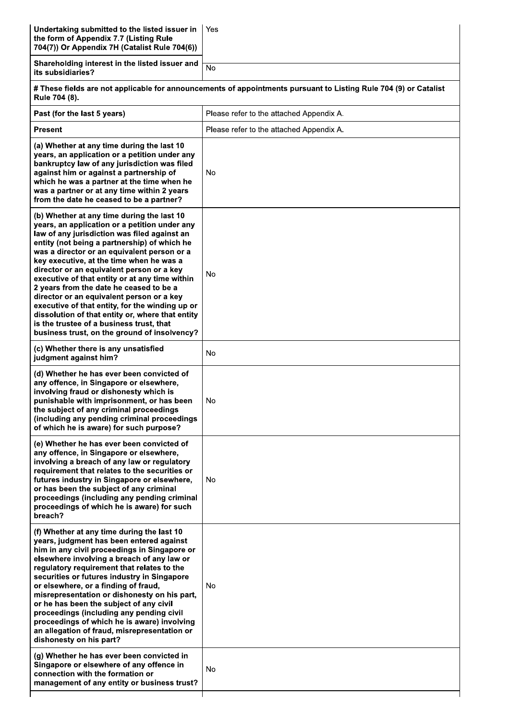| Undertaking submitted to the listed issuer in<br>the form of Appendix 7.7 (Listing Rule<br>704(7)) Or Appendix 7H (Catalist Rule 704(6))                                                                                                                                                                                                                                                                                                                                                                                                                                                                                                                                         | Yes                                                                                                              |
|----------------------------------------------------------------------------------------------------------------------------------------------------------------------------------------------------------------------------------------------------------------------------------------------------------------------------------------------------------------------------------------------------------------------------------------------------------------------------------------------------------------------------------------------------------------------------------------------------------------------------------------------------------------------------------|------------------------------------------------------------------------------------------------------------------|
| Shareholding interest in the listed issuer and<br>its subsidiaries?                                                                                                                                                                                                                                                                                                                                                                                                                                                                                                                                                                                                              | $\overline{N}$                                                                                                   |
| Rule 704 (8).                                                                                                                                                                                                                                                                                                                                                                                                                                                                                                                                                                                                                                                                    | # These fields are not applicable for announcements of appointments pursuant to Listing Rule 704 (9) or Catalist |
| Past (for the last 5 years)                                                                                                                                                                                                                                                                                                                                                                                                                                                                                                                                                                                                                                                      | Please refer to the attached Appendix A.                                                                         |
| <b>Present</b>                                                                                                                                                                                                                                                                                                                                                                                                                                                                                                                                                                                                                                                                   | Please refer to the attached Appendix A.                                                                         |
| (a) Whether at any time during the last 10<br>years, an application or a petition under any<br>bankruptcy law of any jurisdiction was filed<br>against him or against a partnership of<br>which he was a partner at the time when he<br>was a partner or at any time within 2 years<br>from the date he ceased to be a partner?                                                                                                                                                                                                                                                                                                                                                  | No                                                                                                               |
| (b) Whether at any time during the last 10<br>years, an application or a petition under any<br>law of any jurisdiction was filed against an<br>entity (not being a partnership) of which he<br>was a director or an equivalent person or a<br>key executive, at the time when he was a<br>director or an equivalent person or a key<br>executive of that entity or at any time within<br>2 years from the date he ceased to be a<br>director or an equivalent person or a key<br>executive of that entity, for the winding up or<br>dissolution of that entity or, where that entity<br>is the trustee of a business trust, that<br>business trust, on the ground of insolvency? | No                                                                                                               |
| (c) Whether there is any unsatisfied<br>judgment against him?                                                                                                                                                                                                                                                                                                                                                                                                                                                                                                                                                                                                                    | <b>No</b>                                                                                                        |
| (d) Whether he has ever been convicted of<br>any offence, in Singapore or elsewhere,<br>involving fraud or dishonesty which is<br>punishable with imprisonment, or has been<br>the subject of any criminal proceedings<br>(including any pending criminal proceedings<br>of which he is aware) for such purpose?                                                                                                                                                                                                                                                                                                                                                                 | No                                                                                                               |
| (e) Whether he has ever been convicted of<br>any offence, in Singapore or elsewhere,<br>involving a breach of any law or regulatory<br>requirement that relates to the securities or<br>futures industry in Singapore or elsewhere,<br>or has been the subject of any criminal<br>proceedings (including any pending criminal<br>proceedings of which he is aware) for such<br>breach?                                                                                                                                                                                                                                                                                           | No                                                                                                               |
| (f) Whether at any time during the last 10<br>years, judgment has been entered against<br>him in any civil proceedings in Singapore or<br>elsewhere involving a breach of any law or<br>regulatory requirement that relates to the<br>securities or futures industry in Singapore<br>or elsewhere, or a finding of fraud,<br>misrepresentation or dishonesty on his part,<br>or he has been the subject of any civil<br>proceedings (including any pending civil<br>proceedings of which he is aware) involving<br>an allegation of fraud, misrepresentation or<br>dishonesty on his part?                                                                                       | No                                                                                                               |
| (g) Whether he has ever been convicted in<br>Singapore or elsewhere of any offence in<br>connection with the formation or<br>management of any entity or business trust?                                                                                                                                                                                                                                                                                                                                                                                                                                                                                                         | No                                                                                                               |
|                                                                                                                                                                                                                                                                                                                                                                                                                                                                                                                                                                                                                                                                                  |                                                                                                                  |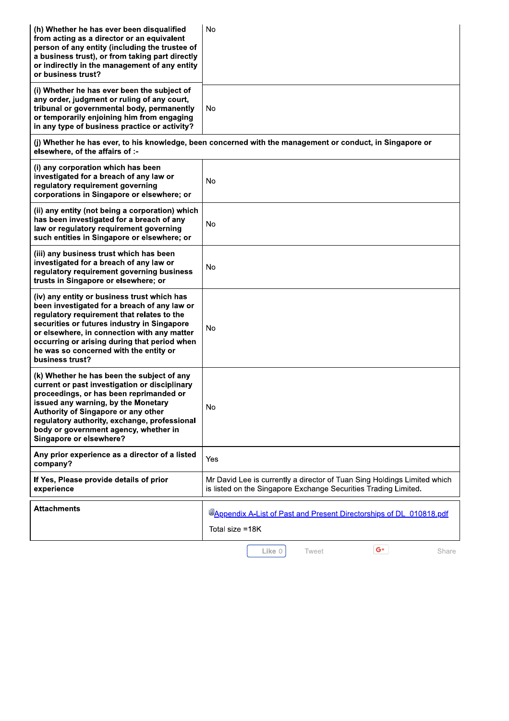| (h) Whether he has ever been disqualified<br>from acting as a director or an equivalent<br>person of any entity (including the trustee of<br>a business trust), or from taking part directly<br>or indirectly in the management of any entity<br>or business trust?                                                                                  | No                                                                                                                                          |
|------------------------------------------------------------------------------------------------------------------------------------------------------------------------------------------------------------------------------------------------------------------------------------------------------------------------------------------------------|---------------------------------------------------------------------------------------------------------------------------------------------|
| (i) Whether he has ever been the subject of<br>any order, judgment or ruling of any court,<br>tribunal or governmental body, permanently<br>or temporarily enjoining him from engaging<br>in any type of business practice or activity?                                                                                                              | No                                                                                                                                          |
| (j) Whether he has ever, to his knowledge, been concerned with the management or conduct, in Singapore or<br>elsewhere, of the affairs of :-                                                                                                                                                                                                         |                                                                                                                                             |
| (i) any corporation which has been<br>investigated for a breach of any law or<br>regulatory requirement governing<br>corporations in Singapore or elsewhere; or                                                                                                                                                                                      | No                                                                                                                                          |
| (ii) any entity (not being a corporation) which<br>has been investigated for a breach of any<br>law or regulatory requirement governing<br>such entities in Singapore or elsewhere; or                                                                                                                                                               | No                                                                                                                                          |
| (iii) any business trust which has been<br>investigated for a breach of any law or<br>regulatory requirement governing business<br>trusts in Singapore or elsewhere; or                                                                                                                                                                              | <b>No</b>                                                                                                                                   |
| (iv) any entity or business trust which has<br>been investigated for a breach of any law or<br>regulatory requirement that relates to the<br>securities or futures industry in Singapore<br>or elsewhere, in connection with any matter<br>occurring or arising during that period when<br>he was so concerned with the entity or<br>business trust? | No                                                                                                                                          |
| (k) Whether he has been the subject of any<br>current or past investigation or disciplinary<br>proceedings, or has been reprimanded or<br>issued any warning, by the Monetary<br>Authority of Singapore or any other<br>regulatory authority, exchange, professional<br>body or government agency, whether in<br>Singapore or elsewhere?             | No                                                                                                                                          |
| Any prior experience as a director of a listed<br>company?                                                                                                                                                                                                                                                                                           | Yes                                                                                                                                         |
| If Yes, Please provide details of prior<br>experience                                                                                                                                                                                                                                                                                                | Mr David Lee is currently a director of Tuan Sing Holdings Limited which<br>is listed on the Singapore Exchange Securities Trading Limited. |
| <b>Attachments</b>                                                                                                                                                                                                                                                                                                                                   | <b>MAppendix A-List of Past and Present Directorships of DL 010818.pdf</b><br>Total size =18K                                               |
|                                                                                                                                                                                                                                                                                                                                                      | $G^+$<br>Like 0<br>Tweet<br>Share                                                                                                           |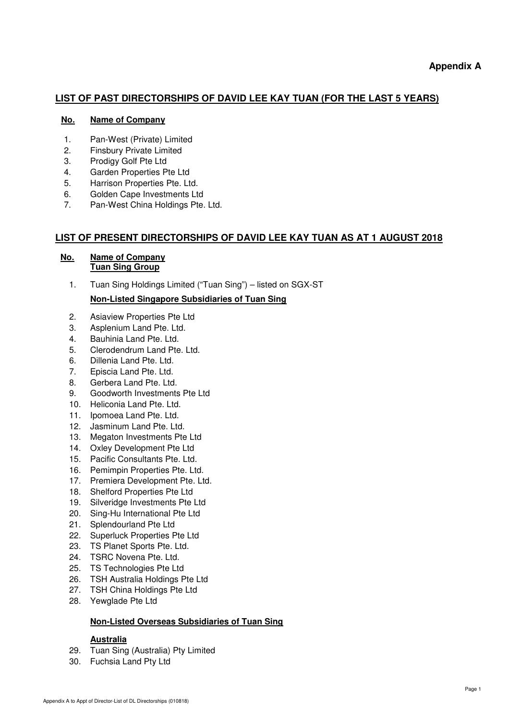# **LIST OF PAST DIRECTORSHIPS OF DAVID LEE KAY TUAN (FOR THE LAST 5 YEARS)**

## **No. Name of Company**

- 1. Pan-West (Private) Limited
- 2. Finsbury Private Limited
- 3. Prodigy Golf Pte Ltd
- 4. Garden Properties Pte Ltd
- 5. Harrison Properties Pte. Ltd.
- 6. Golden Cape Investments Ltd
- 7. Pan-West China Holdings Pte. Ltd.

# **LIST OF PRESENT DIRECTORSHIPS OF DAVID LEE KAY TUAN AS AT 1 AUGUST 2018**

## **No. Name of Company Tuan Sing Group**

1. Tuan Sing Holdings Limited ("Tuan Sing") – listed on SGX-ST

# **Non-Listed Singapore Subsidiaries of Tuan Sing**

- 2. Asiaview Properties Pte Ltd
- 3. Asplenium Land Pte. Ltd.
- 4. Bauhinia Land Pte. Ltd.
- 5. Clerodendrum Land Pte. Ltd.
- 6. Dillenia Land Pte. Ltd.
- 7. Episcia Land Pte. Ltd.
- 8. Gerbera Land Pte. Ltd.
- 9. Goodworth Investments Pte Ltd
- 10. Heliconia Land Pte. Ltd.
- 11. Ipomoea Land Pte. Ltd.
- 12. Jasminum Land Pte. Ltd.
- 13. Megaton Investments Pte Ltd
- 14. Oxley Development Pte Ltd
- 15. Pacific Consultants Pte. Ltd.
- 16. Pemimpin Properties Pte. Ltd.
- 17. Premiera Development Pte. Ltd.
- 18. Shelford Properties Pte Ltd
- 19. Silveridge Investments Pte Ltd
- 20. Sing-Hu International Pte Ltd
- 21. Splendourland Pte Ltd
- 22. Superluck Properties Pte Ltd
- 23. TS Planet Sports Pte. Ltd.
- 24. TSRC Novena Pte. Ltd.
- 25. TS Technologies Pte Ltd
- 26. TSH Australia Holdings Pte Ltd
- 27. TSH China Holdings Pte Ltd
- 28. Yewglade Pte Ltd

## **Non-Listed Overseas Subsidiaries of Tuan Sing**

## **Australia**

- 29. Tuan Sing (Australia) Pty Limited
- 30. Fuchsia Land Pty Ltd